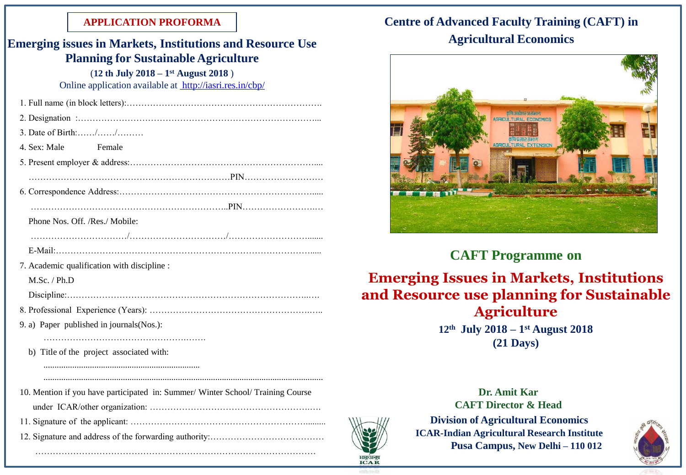#### **APPLICATION PROFORMA**

| <b>Emerging issues in Markets, Institutions and Resource Use</b>                |  |
|---------------------------------------------------------------------------------|--|
| <b>Planning for Sustainable Agriculture</b>                                     |  |
| $(12 th July 2018 - 1st August 2018)$                                           |  |
| Online application available at http://iasri.res.in/cbp/                        |  |
|                                                                                 |  |
|                                                                                 |  |
| 3. Date of Birth://                                                             |  |
| 4. Sex: Male<br>Female                                                          |  |
|                                                                                 |  |
|                                                                                 |  |
|                                                                                 |  |
|                                                                                 |  |
| Phone Nos. Off. /Res./ Mobile:                                                  |  |
|                                                                                 |  |
|                                                                                 |  |
| 7. Academic qualification with discipline :                                     |  |
| $M.Sc.$ / $Ph.D$                                                                |  |
|                                                                                 |  |
|                                                                                 |  |
| 9. a) Paper published in journals(Nos.):                                        |  |
|                                                                                 |  |
| b) Title of the project associated with:                                        |  |
|                                                                                 |  |
|                                                                                 |  |
| 10. Mention if you have participated in: Summer/ Winter School/ Training Course |  |
|                                                                                 |  |
|                                                                                 |  |
|                                                                                 |  |

……………………………………………………………………………………

# **Centre of Advanced Faculty Training (CAFT) in**

### **Agricultural Economics**



## **CAFT Programme on**

**Emerging Issues in Markets, Institutions and Resource use planning for Sustainable Agriculture**

**12th July 2018 – 1 st August 2018 (21 Days)**



भाकुंअनुप **ICAR**